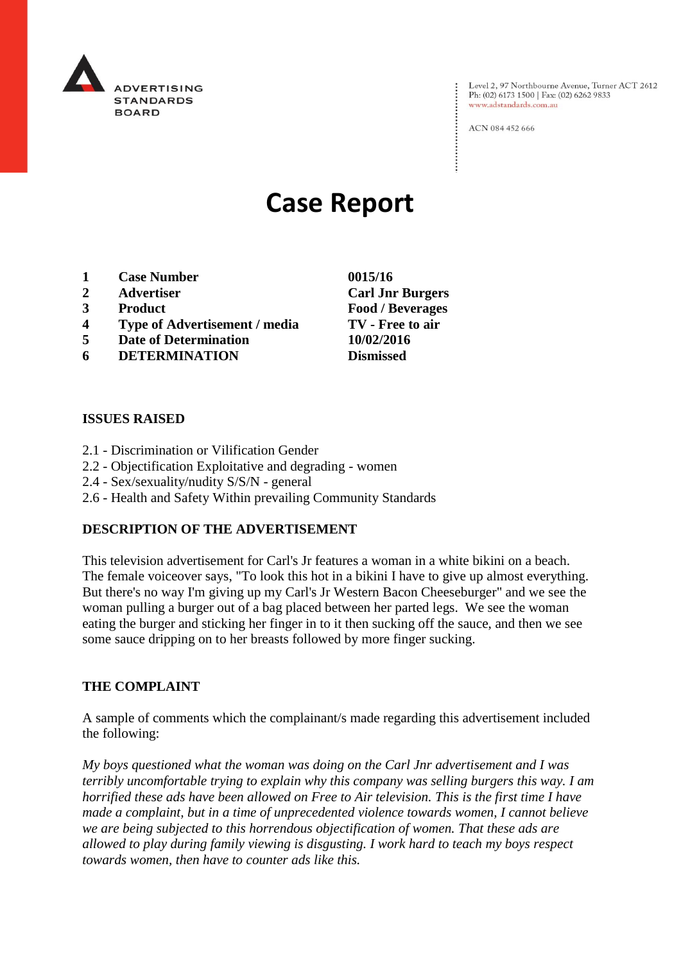

Level 2, 97 Northbourne Avenue, Turner ACT 2612 Ph: (02) 6173 1500 | Fax: (02) 6262 9833 www.adstandards.com.au

ACN 084 452 666

# **Case Report**

- **1 Case Number 0015/16**
- **2 Advertiser Carl Jnr Burgers**
- **3 Product Food / Beverages**
- **4 Type of Advertisement / media TV - Free to air**
- **5 Date of Determination 10/02/2016**
- **6 DETERMINATION Dismissed**

# **ISSUES RAISED**

- 2.1 Discrimination or Vilification Gender
- 2.2 Objectification Exploitative and degrading women
- 2.4 Sex/sexuality/nudity S/S/N general
- 2.6 Health and Safety Within prevailing Community Standards

# **DESCRIPTION OF THE ADVERTISEMENT**

This television advertisement for Carl's Jr features a woman in a white bikini on a beach. The female voiceover says, "To look this hot in a bikini I have to give up almost everything. But there's no way I'm giving up my Carl's Jr Western Bacon Cheeseburger" and we see the woman pulling a burger out of a bag placed between her parted legs. We see the woman eating the burger and sticking her finger in to it then sucking off the sauce, and then we see some sauce dripping on to her breasts followed by more finger sucking.

#### **THE COMPLAINT**

A sample of comments which the complainant/s made regarding this advertisement included the following:

*My boys questioned what the woman was doing on the Carl Jnr advertisement and I was terribly uncomfortable trying to explain why this company was selling burgers this way. I am horrified these ads have been allowed on Free to Air television. This is the first time I have made a complaint, but in a time of unprecedented violence towards women, I cannot believe we are being subjected to this horrendous objectification of women. That these ads are allowed to play during family viewing is disgusting. I work hard to teach my boys respect towards women, then have to counter ads like this.*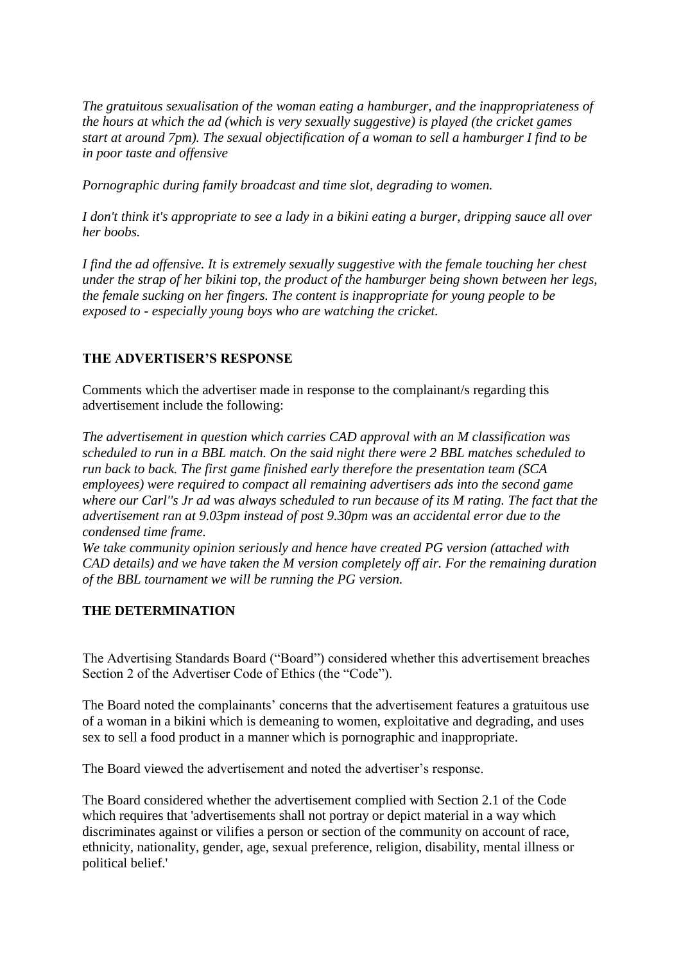*The gratuitous sexualisation of the woman eating a hamburger, and the inappropriateness of the hours at which the ad (which is very sexually suggestive) is played (the cricket games start at around 7pm). The sexual objectification of a woman to sell a hamburger I find to be in poor taste and offensive*

*Pornographic during family broadcast and time slot, degrading to women.* 

*I don't think it's appropriate to see a lady in a bikini eating a burger, dripping sauce all over her boobs.*

*I find the ad offensive. It is extremely sexually suggestive with the female touching her chest under the strap of her bikini top, the product of the hamburger being shown between her legs, the female sucking on her fingers. The content is inappropriate for young people to be exposed to - especially young boys who are watching the cricket.*

# **THE ADVERTISER'S RESPONSE**

Comments which the advertiser made in response to the complainant/s regarding this advertisement include the following:

*The advertisement in question which carries CAD approval with an M classification was scheduled to run in a BBL match. On the said night there were 2 BBL matches scheduled to run back to back. The first game finished early therefore the presentation team (SCA employees) were required to compact all remaining advertisers ads into the second game where our Carl''s Jr ad was always scheduled to run because of its M rating. The fact that the advertisement ran at 9.03pm instead of post 9.30pm was an accidental error due to the condensed time frame.*

*We take community opinion seriously and hence have created PG version (attached with CAD details) and we have taken the M version completely off air. For the remaining duration of the BBL tournament we will be running the PG version.*

# **THE DETERMINATION**

The Advertising Standards Board ("Board") considered whether this advertisement breaches Section 2 of the Advertiser Code of Ethics (the "Code").

The Board noted the complainants' concerns that the advertisement features a gratuitous use of a woman in a bikini which is demeaning to women, exploitative and degrading, and uses sex to sell a food product in a manner which is pornographic and inappropriate.

The Board viewed the advertisement and noted the advertiser's response.

The Board considered whether the advertisement complied with Section 2.1 of the Code which requires that 'advertisements shall not portray or depict material in a way which discriminates against or vilifies a person or section of the community on account of race, ethnicity, nationality, gender, age, sexual preference, religion, disability, mental illness or political belief.'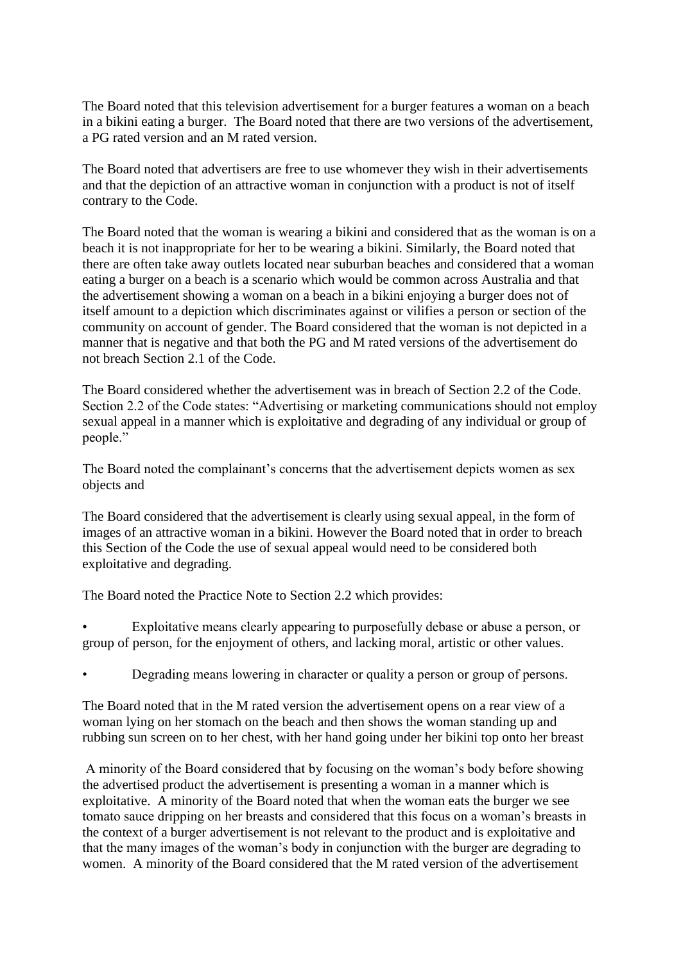The Board noted that this television advertisement for a burger features a woman on a beach in a bikini eating a burger. The Board noted that there are two versions of the advertisement, a PG rated version and an M rated version.

The Board noted that advertisers are free to use whomever they wish in their advertisements and that the depiction of an attractive woman in conjunction with a product is not of itself contrary to the Code.

The Board noted that the woman is wearing a bikini and considered that as the woman is on a beach it is not inappropriate for her to be wearing a bikini. Similarly, the Board noted that there are often take away outlets located near suburban beaches and considered that a woman eating a burger on a beach is a scenario which would be common across Australia and that the advertisement showing a woman on a beach in a bikini enjoying a burger does not of itself amount to a depiction which discriminates against or vilifies a person or section of the community on account of gender. The Board considered that the woman is not depicted in a manner that is negative and that both the PG and M rated versions of the advertisement do not breach Section 2.1 of the Code.

The Board considered whether the advertisement was in breach of Section 2.2 of the Code. Section 2.2 of the Code states: "Advertising or marketing communications should not employ sexual appeal in a manner which is exploitative and degrading of any individual or group of people."

The Board noted the complainant's concerns that the advertisement depicts women as sex objects and

The Board considered that the advertisement is clearly using sexual appeal, in the form of images of an attractive woman in a bikini. However the Board noted that in order to breach this Section of the Code the use of sexual appeal would need to be considered both exploitative and degrading.

The Board noted the Practice Note to Section 2.2 which provides:

• Exploitative means clearly appearing to purposefully debase or abuse a person, or group of person, for the enjoyment of others, and lacking moral, artistic or other values.

• Degrading means lowering in character or quality a person or group of persons.

The Board noted that in the M rated version the advertisement opens on a rear view of a woman lying on her stomach on the beach and then shows the woman standing up and rubbing sun screen on to her chest, with her hand going under her bikini top onto her breast

A minority of the Board considered that by focusing on the woman's body before showing the advertised product the advertisement is presenting a woman in a manner which is exploitative. A minority of the Board noted that when the woman eats the burger we see tomato sauce dripping on her breasts and considered that this focus on a woman's breasts in the context of a burger advertisement is not relevant to the product and is exploitative and that the many images of the woman's body in conjunction with the burger are degrading to women. A minority of the Board considered that the M rated version of the advertisement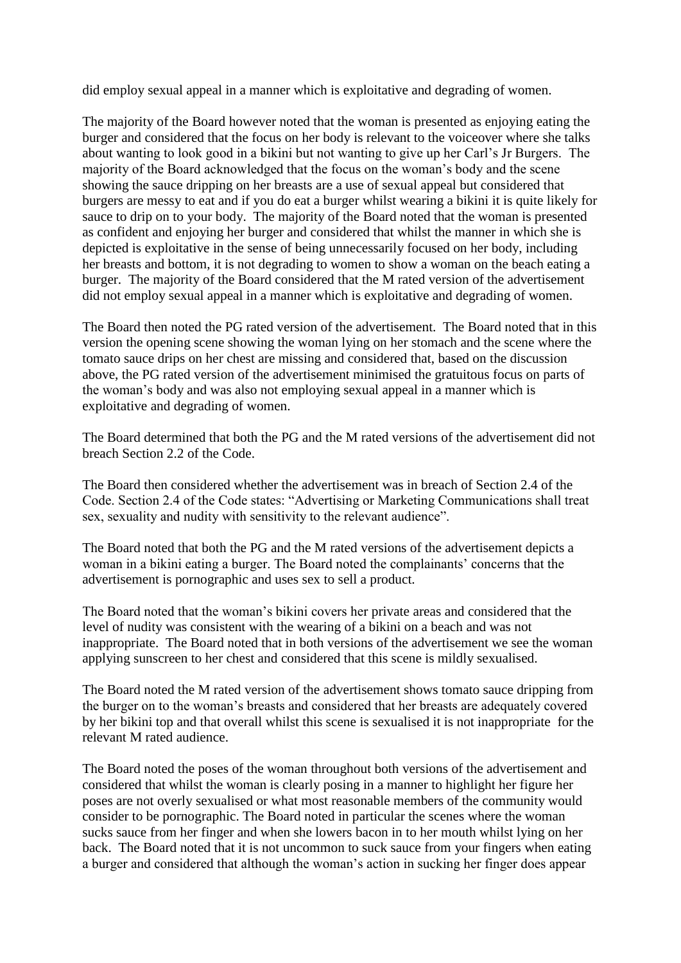did employ sexual appeal in a manner which is exploitative and degrading of women.

The majority of the Board however noted that the woman is presented as enjoying eating the burger and considered that the focus on her body is relevant to the voiceover where she talks about wanting to look good in a bikini but not wanting to give up her Carl's Jr Burgers. The majority of the Board acknowledged that the focus on the woman's body and the scene showing the sauce dripping on her breasts are a use of sexual appeal but considered that burgers are messy to eat and if you do eat a burger whilst wearing a bikini it is quite likely for sauce to drip on to your body. The majority of the Board noted that the woman is presented as confident and enjoying her burger and considered that whilst the manner in which she is depicted is exploitative in the sense of being unnecessarily focused on her body, including her breasts and bottom, it is not degrading to women to show a woman on the beach eating a burger. The majority of the Board considered that the M rated version of the advertisement did not employ sexual appeal in a manner which is exploitative and degrading of women.

The Board then noted the PG rated version of the advertisement. The Board noted that in this version the opening scene showing the woman lying on her stomach and the scene where the tomato sauce drips on her chest are missing and considered that, based on the discussion above, the PG rated version of the advertisement minimised the gratuitous focus on parts of the woman's body and was also not employing sexual appeal in a manner which is exploitative and degrading of women.

The Board determined that both the PG and the M rated versions of the advertisement did not breach Section 2.2 of the Code.

The Board then considered whether the advertisement was in breach of Section 2.4 of the Code. Section 2.4 of the Code states: "Advertising or Marketing Communications shall treat sex, sexuality and nudity with sensitivity to the relevant audience".

The Board noted that both the PG and the M rated versions of the advertisement depicts a woman in a bikini eating a burger. The Board noted the complainants' concerns that the advertisement is pornographic and uses sex to sell a product.

The Board noted that the woman's bikini covers her private areas and considered that the level of nudity was consistent with the wearing of a bikini on a beach and was not inappropriate. The Board noted that in both versions of the advertisement we see the woman applying sunscreen to her chest and considered that this scene is mildly sexualised.

The Board noted the M rated version of the advertisement shows tomato sauce dripping from the burger on to the woman's breasts and considered that her breasts are adequately covered by her bikini top and that overall whilst this scene is sexualised it is not inappropriate for the relevant M rated audience.

The Board noted the poses of the woman throughout both versions of the advertisement and considered that whilst the woman is clearly posing in a manner to highlight her figure her poses are not overly sexualised or what most reasonable members of the community would consider to be pornographic. The Board noted in particular the scenes where the woman sucks sauce from her finger and when she lowers bacon in to her mouth whilst lying on her back. The Board noted that it is not uncommon to suck sauce from your fingers when eating a burger and considered that although the woman's action in sucking her finger does appear